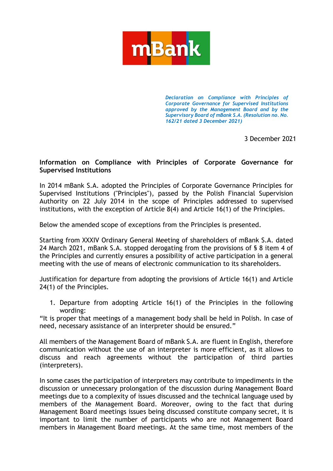

*Declaration on Compliance with Principles of Corporate Governance for Supervised Institutions approved by the Management Board and by the Supervisory Board of mBank S.A. (Resolution no. No. 162/21 dated 3 December 2021)*

3 December 2021

## **Information on Compliance with Principles of Corporate Governance for Supervised Institutions**

In 2014 mBank S.A. adopted the Principles of Corporate Governance Principles for Supervised Institutions ("Principles"), passed by the Polish Financial Supervision Authority on 22 July 2014 in the scope of Principles addressed to supervised institutions, with the exception of Article 8(4) and Article 16(1) of the Principles.

Below the amended scope of exceptions from the Principles is presented.

Starting from XXXIV Ordinary General Meeting of shareholders of mBank S.A. dated 24 March 2021, mBank S.A. stopped derogating from the provisions of § 8 item 4 of the Principles and currently ensures a possibility of active participation in a general meeting with the use of means of electronic communication to its shareholders.

Justification for departure from adopting the provisions of Article 16(1) and Article 24(1) of the Principles.

1. Departure from adopting Article 16(1) of the Principles in the following wording:

"It is proper that meetings of a management body shall be held in Polish. In case of need, necessary assistance of an interpreter should be ensured."

All members of the Management Board of mBank S.A. are fluent in English, therefore communication without the use of an interpreter is more efficient, as it allows to discuss and reach agreements without the participation of third parties (interpreters).

In some cases the participation of interpreters may contribute to impediments in the discussion or unnecessary prolongation of the discussion during Management Board meetings due to a complexity of issues discussed and the technical language used by members of the Management Board. Moreover, owing to the fact that during Management Board meetings issues being discussed constitute company secret, it is important to limit the number of participants who are not Management Board members in Management Board meetings. At the same time, most members of the